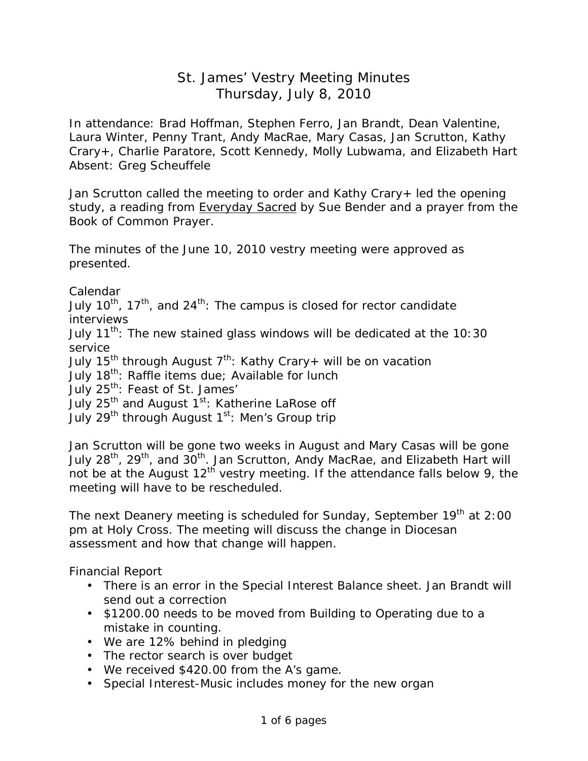## St. James' Vestry Meeting Minutes Thursday, July 8, 2010

In attendance: Brad Hoffman, Stephen Ferro, Jan Brandt, Dean Valentine, Laura Winter, Penny Trant, Andy MacRae, Mary Casas, Jan Scrutton, Kathy Crary+, Charlie Paratore, Scott Kennedy, Molly Lubwama, and Elizabeth Hart Absent: Greg Scheuffele

Jan Scrutton called the meeting to order and Kathy Crary+ led the opening study, a reading from Everyday Sacred by Sue Bender and a prayer from the Book of Common Prayer.

The minutes of the June 10, 2010 vestry meeting were approved as presented.

Calendar

July 10<sup>th</sup>, 17<sup>th</sup>, and 24<sup>th</sup>: The campus is closed for rector candidate interviews

July  $11^{th}$ : The new stained glass windows will be dedicated at the 10:30 service

July 15<sup>th</sup> through August  $7<sup>th</sup>$ : Kathy Crary+ will be on vacation

July 18<sup>th</sup>: Raffle items due; Available for lunch

July 25<sup>th</sup>: Feast of St. James'

July 25<sup>th</sup> and August 1<sup>st</sup>: Katherine LaRose off

July 29<sup>th</sup> through August 1<sup>st</sup>: Men's Group trip

Jan Scrutton will be gone two weeks in August and Mary Casas will be gone July 28<sup>th</sup>, 29<sup>th</sup>, and 30<sup>th</sup>. Jan Scrutton, Andy MacRae, and Elizabeth Hart will not be at the August  $12<sup>th</sup>$  vestry meeting. If the attendance falls below 9, the meeting will have to be rescheduled.

The next Deanery meeting is scheduled for Sunday, September 19<sup>th</sup> at 2:00 pm at Holy Cross. The meeting will discuss the change in Diocesan assessment and how that change will happen.

Financial Report

- There is an error in the Special Interest Balance sheet. Jan Brandt will send out a correction
- \$1200.00 needs to be moved from Building to Operating due to a mistake in counting.
- We are 12% behind in pledging
- The rector search is over budget
- We received \$420.00 from the A's game.
- Special Interest-Music includes money for the new organ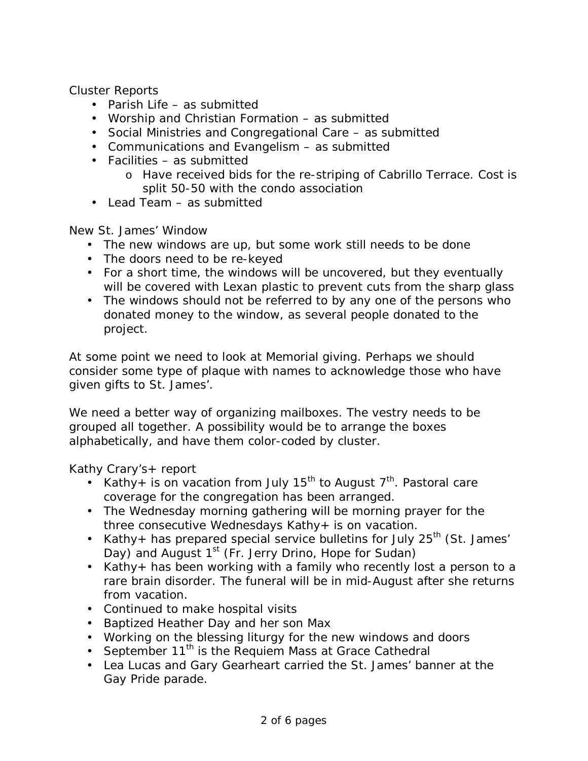Cluster Reports

- Parish Life as submitted
- Worship and Christian Formation as submitted
- Social Ministries and Congregational Care as submitted
- Communications and Evangelism as submitted
- Facilities as submitted
	- o Have received bids for the re-striping of Cabrillo Terrace. Cost is split 50-50 with the condo association
- Lead Team as submitted

New St. James' Window

- The new windows are up, but some work still needs to be done
- The doors need to be re-keyed
- For a short time, the windows will be uncovered, but they eventually will be covered with Lexan plastic to prevent cuts from the sharp glass
- The windows should not be referred to by any one of the persons who donated money to the window, as several people donated to the project.

At some point we need to look at Memorial giving. Perhaps we should consider some type of plaque with names to acknowledge those who have given gifts to St. James'.

We need a better way of organizing mailboxes. The vestry needs to be grouped all together. A possibility would be to arrange the boxes alphabetically, and have them color-coded by cluster.

Kathy Crary's+ report

- Kathy+ is on vacation from July 15<sup>th</sup> to August 7<sup>th</sup>. Pastoral care coverage for the congregation has been arranged.
- The Wednesday morning gathering will be morning prayer for the three consecutive Wednesdays Kathy+ is on vacation.
- Kathy+ has prepared special service bulletins for July  $25<sup>th</sup>$  (St. James' Day) and August 1<sup>st</sup> (Fr. Jerry Drino, Hope for Sudan)
- Kathy+ has been working with a family who recently lost a person to a rare brain disorder. The funeral will be in mid-August after she returns from vacation.
- Continued to make hospital visits
- Baptized Heather Day and her son Max
- Working on the blessing liturgy for the new windows and doors
- September 11<sup>th</sup> is the Requiem Mass at Grace Cathedral
- Lea Lucas and Gary Gearheart carried the St. James' banner at the Gay Pride parade.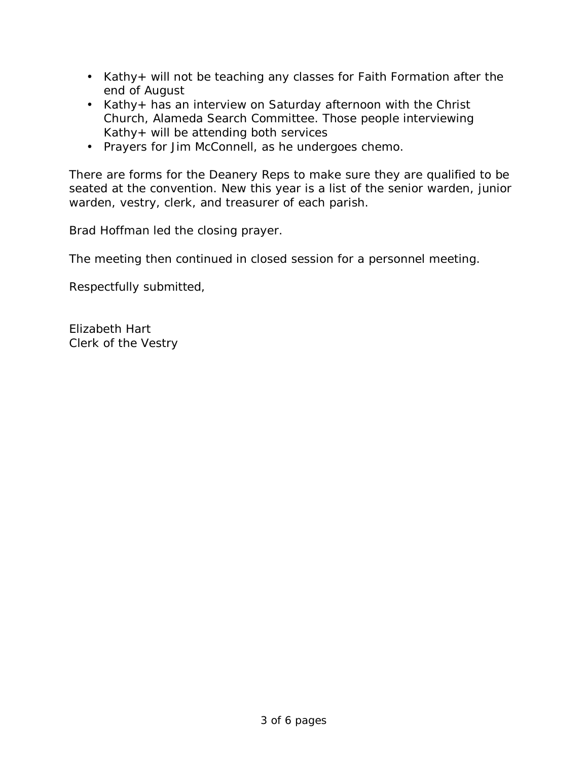- Kathy+ will not be teaching any classes for Faith Formation after the end of August
- Kathy+ has an interview on Saturday afternoon with the Christ Church, Alameda Search Committee. Those people interviewing Kathy+ will be attending both services
- Prayers for Jim McConnell, as he undergoes chemo.

There are forms for the Deanery Reps to make sure they are qualified to be seated at the convention. New this year is a list of the senior warden, junior warden, vestry, clerk, and treasurer of each parish.

Brad Hoffman led the closing prayer.

The meeting then continued in closed session for a personnel meeting.

Respectfully submitted,

Elizabeth Hart Clerk of the Vestry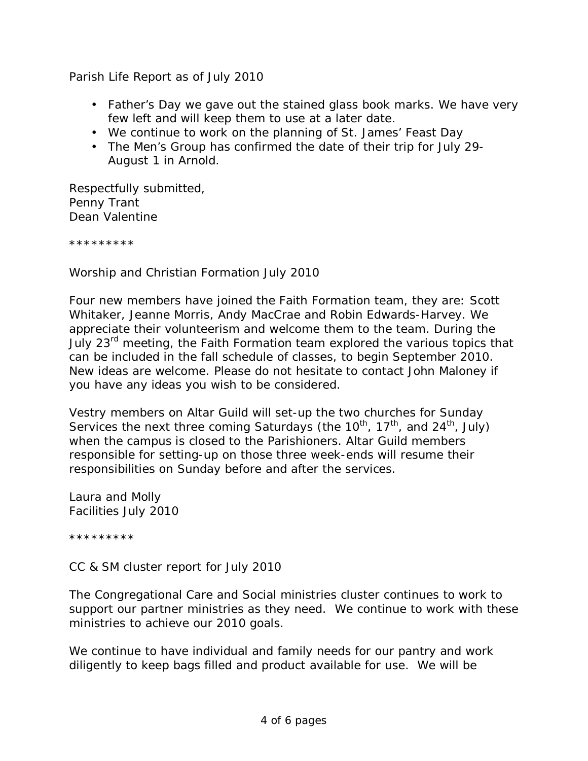Parish Life Report as of July 2010

- Father's Day we gave out the stained glass book marks. We have very few left and will keep them to use at a later date.
- We continue to work on the planning of St. James' Feast Day
- The Men's Group has confirmed the date of their trip for July 29- August 1 in Arnold.

Respectfully submitted, Penny Trant Dean Valentine

\*\*\*\*\*\*\*\*\*

Worship and Christian Formation July 2010

Four new members have joined the Faith Formation team, they are: Scott Whitaker, Jeanne Morris, Andy MacCrae and Robin Edwards-Harvey. We appreciate their volunteerism and welcome them to the team. During the July 23<sup>rd</sup> meeting, the Faith Formation team explored the various topics that can be included in the fall schedule of classes, to begin September 2010. New ideas are welcome. Please do not hesitate to contact John Maloney if you have any ideas you wish to be considered.

Vestry members on Altar Guild will set-up the two churches for Sunday Services the next three coming Saturdays (the  $10^{th}$ ,  $17^{th}$ , and  $24^{th}$ , July) when the campus is closed to the Parishioners. Altar Guild members responsible for setting-up on those three week-ends will resume their responsibilities on Sunday before and after the services.

Laura and Molly Facilities July 2010

\*\*\*\*\*\*\*\*\*

CC & SM cluster report for July 2010

The Congregational Care and Social ministries cluster continues to work to support our partner ministries as they need. We continue to work with these ministries to achieve our 2010 goals.

We continue to have individual and family needs for our pantry and work diligently to keep bags filled and product available for use. We will be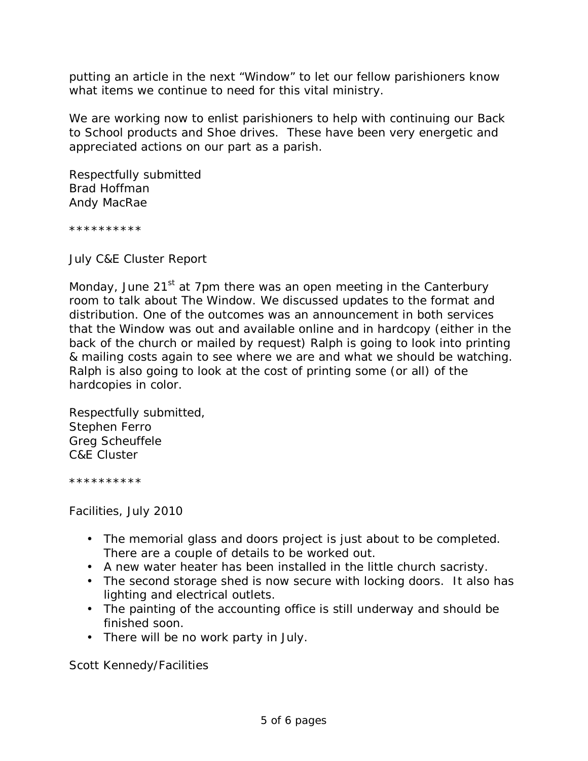putting an article in the next "Window" to let our fellow parishioners know what items we continue to need for this vital ministry.

We are working now to enlist parishioners to help with continuing our Back to School products and Shoe drives. These have been very energetic and appreciated actions on our part as a parish.

Respectfully submitted Brad Hoffman Andy MacRae

\*\*\*\*\*\*\*\*\*\*

July C&E Cluster Report

Monday, June  $21<sup>st</sup>$  at 7pm there was an open meeting in the Canterbury room to talk about *The Window*. We discussed updates to the format and distribution. One of the outcomes was an announcement in both services that the Window was out and available online and in hardcopy (either in the back of the church or mailed by request) Ralph is going to look into printing & mailing costs again to see where we are and what we should be watching. Ralph is also going to look at the cost of printing some (or all) of the hardcopies in color.

Respectfully submitted, Stephen Ferro Greg Scheuffele C&E Cluster

\*\*\*\*\*\*\*\*\*\*

Facilities, July 2010

- The memorial glass and doors project is just about to be completed. There are a couple of details to be worked out.
- A new water heater has been installed in the little church sacristy.
- The second storage shed is now secure with locking doors. It also has lighting and electrical outlets.
- The painting of the accounting office is still underway and should be finished soon.
- There will be no work party in July.

Scott Kennedy/Facilities